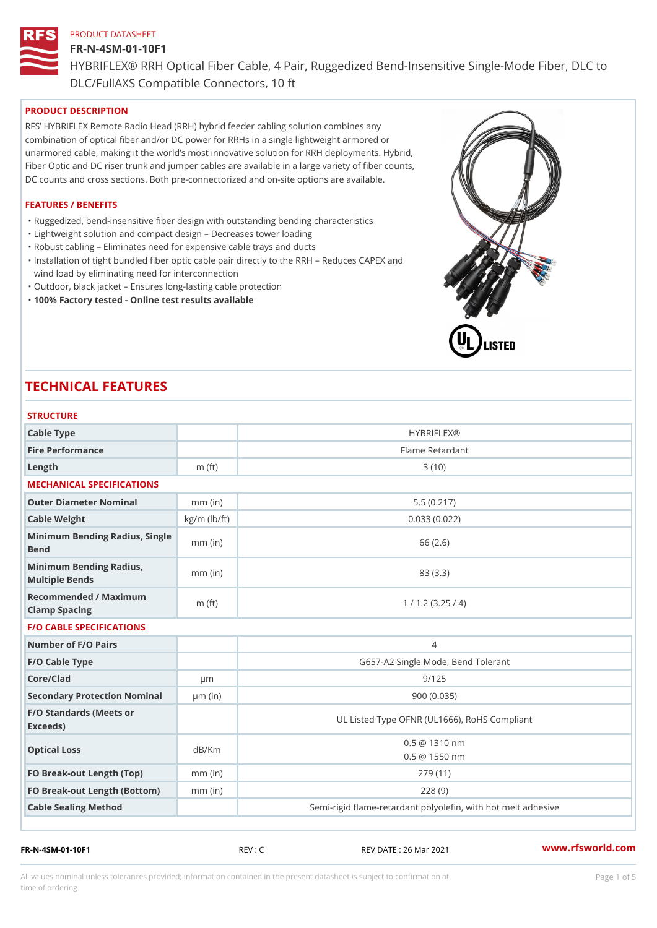# FR-N-4SM-01-10F1 HYBRIFLEX® RRH Optical Fiber Cable, 4 Pair, Ruggedized Bend-Insens DLC/FullAXS Compatible Connectors, 10 ft

# PRODUCT DESCRIPTION

RFS HYBRIFLEX Remote Radio Head (RRH) hybrid feeder cabling solution combines any combination of optical fiber and/or DC power for RRHs in a single lightweight armored or unarmored cable, making it the world s most innovative solution for RRH deployments. Hybrid, Fiber Optic and DC riser trunk and jumper cables are available in a large variety of fiber counts, DC counts and cross sections. Both pre-connectorized and on-site options are available.

# FEATURES / BENEFITS

- "Ruggedized, bend-insensitive fiber design with outstanding bending characteristics
- "Lightweight solution and compact design Decreases tower loading
- "Robust cabling Eliminates need for expensive cable trays and ducts
- "Installation of tight bundled fiber optic cable pair directly to the RRH Aeduces CAPEX and wind load by eliminating need for interconnection
- "Outdoor, black jacket Ensures long-lasting cable protection
- "100% Factory tested Online test results available

# TECHNICAL FEATURES

| <b>STRUCTURE</b>                                  |                    |                                                          |
|---------------------------------------------------|--------------------|----------------------------------------------------------|
| Cable Type                                        |                    | <b>HYBRIFLEX®</b>                                        |
| Fire Performance                                  |                    | Flame Retardant                                          |
| Length                                            | $m$ (ft)           | 3(10)                                                    |
| MECHANICAL SPECIFICATIONS                         |                    |                                                          |
| Outer Diameter Nominal                            | $mm$ (in)          | 5.5(0.217)                                               |
| Cable Weight                                      | $kg/m$ ( $lb/ft$ ) | 0.033(0.022)                                             |
| Minimum Bending Radius, Single<br>Bend            |                    | 66 (2.6)                                                 |
| Minimum Bending Radius, mm (in)<br>Multiple Bends |                    | 83 (3.3)                                                 |
| Recommended / Maximum<br>Clamp Spacing            | m $(ft)$           | 1 / 1.2 (3.25 / 4)                                       |
| <b>F/O CABLE SPECIFICATIONS</b>                   |                    |                                                          |
| Number of F/O Pairs                               |                    | $\overline{4}$                                           |
| F/O Cable Type                                    |                    | G657-A2 Single Mode, Bend Tolerant                       |
| Core/Clad                                         | $\mu$ m            | 9/125                                                    |
| Secondary Protection Nomimal(in)                  |                    | 900 (0.035)                                              |
| F/O Standards (Meets or<br>Exceeds)               |                    | UL Listed Type OFNR (UL1666), RoHS Compliant             |
| Optical Loss                                      | dB/Km              | $0.5 \ @ \ 1310 \ nm$<br>$0.5 \ @ \ 1550 \ nm$           |
| FO Break-out Length (Top)mm (in)                  |                    | 279 (11)                                                 |
| FO Break-out Length (Bottomm) (in)                |                    | 228(9)                                                   |
| Cable Sealing Method                              |                    | Semi-rigid flame-retardant polyolefin, with hot melt ad! |

FR-N-4SM-01-10F1 REV : C REV DATE : 26 Mar 2021 [www.](https://www.rfsworld.com)rfsworld.com

All values nominal unless tolerances provided; information contained in the present datasheet is subject to Pcapgeight Stid time of ordering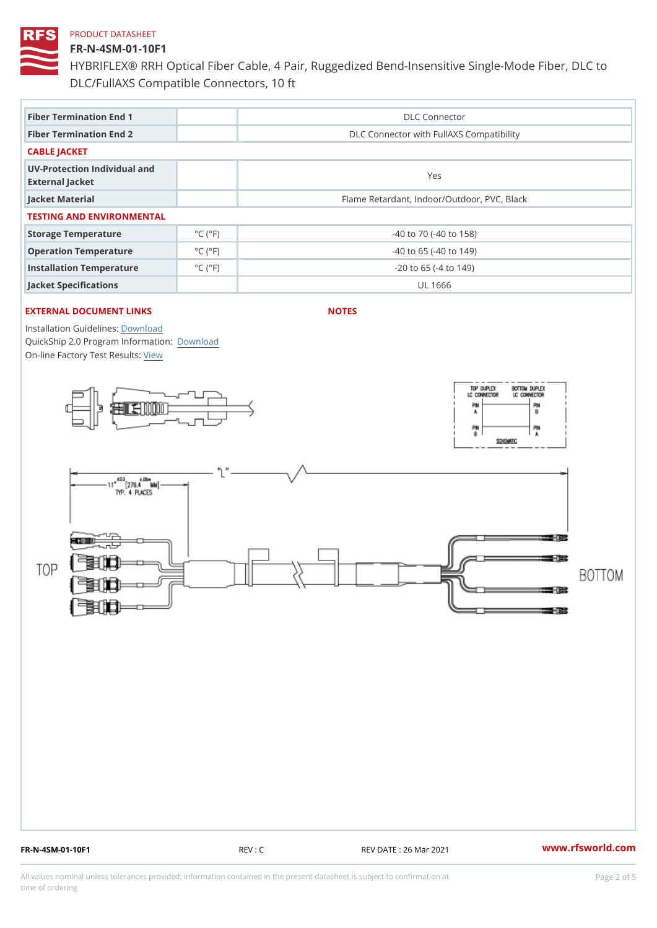### FR-N-4SM-01-10F1

HYBRIFLEX® RRH Optical Fiber Cable, 4 Pair, Ruggedized Bend-Insens DLC/FullAXS Compatible Connectors, 10 ft

| Fiber Termination End 1                         |                             | DLC Connector                               |  |  |
|-------------------------------------------------|-----------------------------|---------------------------------------------|--|--|
| Fiber Termination End 2                         |                             | DLC Connector with FullAXS Compatibility    |  |  |
| CABLE JACKET                                    |                             |                                             |  |  |
| UV-Protection Individual and<br>External Jacket |                             | Yes                                         |  |  |
| Jacket Material                                 |                             | Flame Retardant, Indoor/Outdoor, PVC, Black |  |  |
| TESTING AND ENVIRONMENTAL                       |                             |                                             |  |  |
| Storage Temperature                             | $^{\circ}$ C ( $^{\circ}$ F | $-40$ to $70$ ( $-40$ to $158$ )            |  |  |
| Operation Temperature                           | $^{\circ}$ C ( $^{\circ}$ F | $-40$ to 65 ( $-40$ to 149)                 |  |  |
| Installation Temperature                        | $^{\circ}$ C ( $^{\circ}$ F | $-20$ to 65 ( $-4$ to 149)                  |  |  |
| Jacket Specifications                           |                             | UL 1666                                     |  |  |

# EXTERNAL DOCUMENT LINKS

NOTES

Installation Guidelwinessad QuickShip 2.0 Program [Informa](http://www.rfsworld.com/images/hybriflex/quickship_program_2.pdf)tion: On-line Factory Te[s](https://www.rfsworld.com/pictures/userfiles/programs/AAST Latest Version.zip)teResults:

FR-N-4SM-01-10F1 REV : C REV DATE : 26 Mar 2021 [www.](https://www.rfsworld.com)rfsworld.com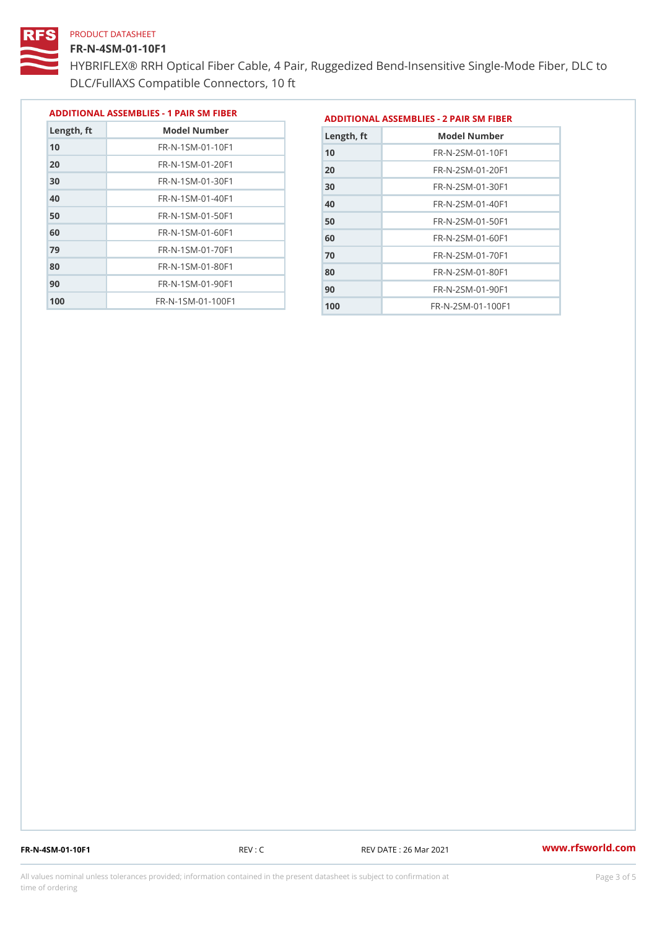#### FR-N-4SM-01-10F1

 FR-N-1SM-01-70F1 FR-N-1SM-01-80F1 FR-N-1SM-01-90F1 FR-N-1SM-01-100F1

HYBRIFLEX® RRH Optical Fiber Cable, 4 Pair, Ruggedized Bend-Insens DLC/FullAXS Compatible Connectors, 10 ft

> FR-N-2SM-01-60F1 FR-N-2SM-01-70F1 FR-N-2SM-01-80F1 FR-N-2SM-01-90F1 FR-N-2SM-01-100F1

|               |                                |               | ADDITIONAL ASSEMBLIES - 1 PAIR SM FIBERDDITIONAL ASSEMBLIES - 2 PAIR SM FIBER |
|---------------|--------------------------------|---------------|-------------------------------------------------------------------------------|
| $L$ ength, ft | Model Number                   | $L$ ength, ft | Model Number                                                                  |
| 10            | FR-N-1SM-01-10F1               | 10            | $FR - N - 2 SM - 01 - 10 F1$                                                  |
| 20            | FR-N-1SM-01-20F1               | 20            | $FR - N - 2 SM - 01 - 20 F1$                                                  |
| 30            | FR-N-1SM-01-30F1               | 30            | $FR - N - 2 SM - 01 - 30 F1$                                                  |
| 40            | $FR - N - 1 SM - 01 - 40 F1$   | 40            | $FR - N - 2 SM - 01 - 40 F1$                                                  |
| 50            | $FR - N - 1 SM - 01 - 50 F1$   | 50            | $FR - N - 2 SM - 01 - 50 F1$                                                  |
| 60            | $FR - N - 1$ S M - 01 - 60 F 1 | $\sim$ $\sim$ | FR N OCM OF COFF                                                              |

FR-N-4SM-01-10F1 REV : C REV DATE : 26 Mar 2021 [www.](https://www.rfsworld.com)rfsworld.com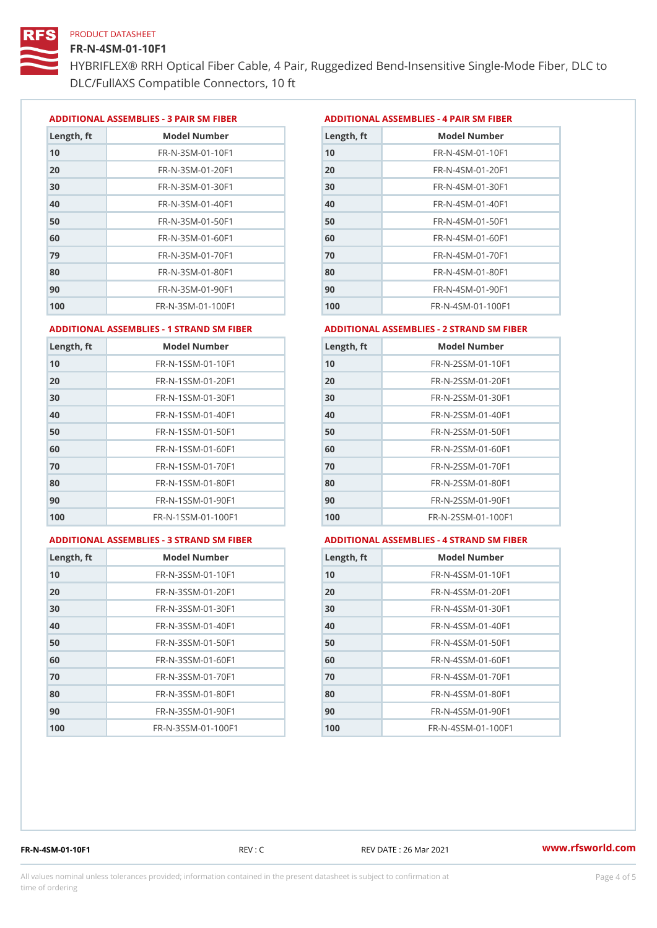#### FR-N-4SM-01-10F1

HYBRIFLEX® RRH Optical Fiber Cable, 4 Pair, Ruggedized Bend-Insens DLC/FullAXS Compatible Connectors, 10 ft

ADDITIONAL ASSEMBLIES - 3 PAIR SM FIBERED DITIONAL ASSEMBLIES - 4 PAIR SM FIBER

| Length, ft | Model Number                  |
|------------|-------------------------------|
| 10         | $FR - N - 3 S M - 01 - 10 F1$ |
| 20         | FR-N-3SM-01-20F1              |
| 30         | FR-N-3SM-01-30F1              |
| 40         | FR-N-3SM-01-40F1              |
| 50         | $FR - N - 3 S M - 01 - 50 F1$ |
| 60         | $FR - N - 3 S M - 01 - 60 F1$ |
| 79         | $FR - N - 3 S M - 01 - 70 F1$ |
| 80         | $FR - N - 3 S M - 01 - 80 F1$ |
| 90         | FR-N-3SM-01-90F1              |
| 100        | FR-N-3SM-01-100F1             |

| Length, ft | Model Number                   |
|------------|--------------------------------|
| 10         | $FR - N - 4$ S M - 01 - 10 F 1 |
| 20         | $FR - N - 4 SM - 01 - 20 F1$   |
| 30         | $FR - N - 4 S M - 01 - 30 F1$  |
| 40         | FR-N-4SM-01-40F1               |
| 50         | FR-N-4SM-01-50F1               |
| 60         | $FR - N - 4 S M - 01 - 60 F1$  |
| 70         | FR-N-4SM-01-70F1               |
| 80         | $FR - N - 4 S M - 01 - 80 F1$  |
| 90         | FR-N-4SM-01-90F1               |
| 100        | $FR - N - 4 S M - 01 - 100 F1$ |

#### ADDITIONAL ASSEMBLIES - 1 STRAND SM FABSDRTIONAL ASSEMBLIES - 2 STRAND SM FIBER

| 10<br>FR-N-1SSM-01-10F1<br>10<br>FR-N-2SSM-01-10F1<br>FR-N-1SSM-01-20F1<br>20<br>$FR - N - 2SSM - 01 - 20F1$<br>30<br>FR-N-1SSM-01-30F1<br>FR-N-2SSM-01-30F1<br>$FR - N - 1$ S S M - 01 - 40 F 1<br>40<br>$FR - N - 2SSM - 01 - 40F1$<br>FR-N-1SSM-01-50F1<br>FR-N-2SSM-01-50F1<br>50<br>FR-N-1SSM-01-60F1<br>60<br>$FR - N - 2SSM - 01 - 60F1$ |
|-------------------------------------------------------------------------------------------------------------------------------------------------------------------------------------------------------------------------------------------------------------------------------------------------------------------------------------------------|
| 20<br>30                                                                                                                                                                                                                                                                                                                                        |
|                                                                                                                                                                                                                                                                                                                                                 |
| 40<br>50<br>60                                                                                                                                                                                                                                                                                                                                  |
|                                                                                                                                                                                                                                                                                                                                                 |
|                                                                                                                                                                                                                                                                                                                                                 |
|                                                                                                                                                                                                                                                                                                                                                 |
| 70<br>$FR - N - 1$ S S M - 01 - 70 F 1<br>70<br>$FR - N - 2SSM - 01 - 70F1$                                                                                                                                                                                                                                                                     |
| 80<br>80<br>FR-N-1SSM-01-80F1<br>FR-N-2SSM-01-80F1                                                                                                                                                                                                                                                                                              |
| 90<br>FR-N-1SSM-01-90F1<br>FR-N-2SSM-01-90F1<br>90                                                                                                                                                                                                                                                                                              |
| FR-N-1SSM-01-100F1<br>FR-N-2SSM-01-100F1<br>100<br>100                                                                                                                                                                                                                                                                                          |

#### ADDITIONAL ASSEMBLIES - 3 STRAND SM FABSDRTIONAL ASSEMBLIES - 4 STRAND SM FIBER

| Length, ft | Model Number                    |
|------------|---------------------------------|
| 10         | $FR - N - 3 S S M - 01 - 10 F1$ |
| 20         | FR-N-3SSM-01-20F1               |
| 30         | FR-N-3SSM-01-30F1               |
| 40         | $FR - N - 3 S S M - 01 - 40 F1$ |
| 50         | $FR - N - 3 S S M - 01 - 50 F1$ |
| 60         | $FR - N - 3 S S M - 01 - 60 F1$ |
| 70         | FR-N-3SSM-01-70F1               |
| 80         | FR-N-3SSM-01-80F1               |
| 90         | FR-N-3SSM-01-90F1               |
| 100        | FR-N-3SSM-01-100F1              |

| Length, ft | Model Number                     |
|------------|----------------------------------|
| 10         | FR-N-4SSM-01-10F1                |
| 20         | $FR - N - 4 S S M - 01 - 20 F1$  |
| 30         | $FR - N - 4 S S M - 01 - 30 F1$  |
| 40         | $FR - N - 4$ S S M - 01 - 40 F 1 |
| 50         | FR-N-4SSM-01-50F1                |
| 60         | FR-N-4SSM-01-60F1                |
| 70         | $FR - N - 4$ S S M - 01 - 70 F 1 |
| 80         | FR-N-4SSM-01-80F1                |
| 90         | FR-N-4SSM-01-90F1                |
| 100        | FR-N-4SSM-01-100F1               |

FR-N-4SM-01-10F1 REV : C REV DATE : 26 Mar 2021 [www.](https://www.rfsworld.com)rfsworld.com

All values nominal unless tolerances provided; information contained in the present datasheet is subject to Pcapgnéig4m ssti time of ordering